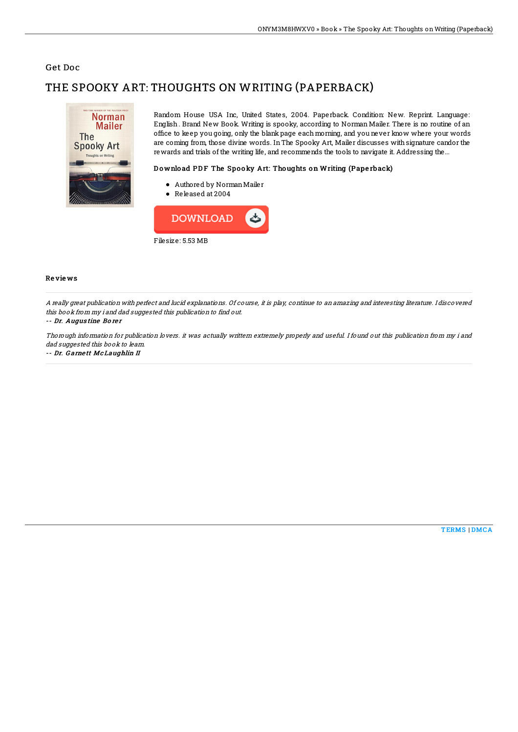## Get Doc

# THE SPOOKY ART: THOUGHTS ON WRITING (PAPERBACK)



Random House USA Inc, United States, 2004. Paperback. Condition: New. Reprint. Language: English . Brand New Book. Writing is spooky, according to Norman Mailer. There is no routine of an office to keep you going, only the blank page each morning, and you never know where your words are coming from, those divine words. InThe Spooky Art, Mailer discusses withsignature candor the rewards and trials of the writing life, and recommends the tools to navigate it. Addressing the...

### Download PDF The Spooky Art: Thoughts on Writing (Paperback)

- Authored by NormanMailer
- Released at 2004



#### Re vie ws

A really great publication with perfect and lucid explanations. Of course, it is play, continue to an amazing and interesting literature. I discovered this book from my i and dad suggested this publication to find out.

#### -- Dr. Augus tine Bo re <sup>r</sup>

Thorough information for publication lovers. it was actually writtern extremely properly and useful. I found out this publication from my i and dad suggested this book to leam.

#### -- Dr. G arne tt McLaughlin II